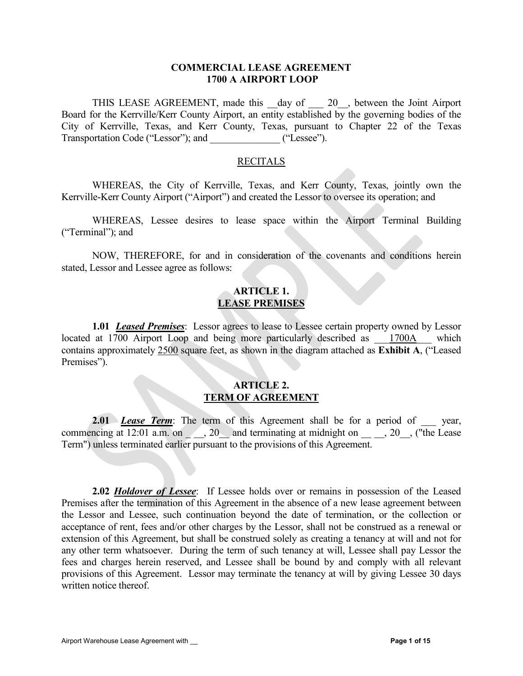#### COMMERCIAL LEASE AGREEMENT 1700 A AIRPORT LOOP

THIS LEASE AGREEMENT, made this \_day of \_\_\_ 20\_, between the Joint Airport Board for the Kerrville/Kerr County Airport, an entity established by the governing bodies of the City of Kerrville, Texas, and Kerr County, Texas, pursuant to Chapter 22 of the Texas Transportation Code ("Lessor"); and ("Lessee").

#### RECITALS

WHEREAS, the City of Kerrville, Texas, and Kerr County, Texas, jointly own the Kerrville-Kerr County Airport ("Airport") and created the Lessor to oversee its operation; and

WHEREAS, Lessee desires to lease space within the Airport Terminal Building ("Terminal"); and

NOW, THEREFORE, for and in consideration of the covenants and conditions herein stated, Lessor and Lessee agree as follows:

# ARTICLE 1. LEASE PREMISES

**1.01 Leased Premises:** Lessor agrees to lease to Lessee certain property owned by Lessor located at 1700 Airport Loop and being more particularly described as  $1700A$  which contains approximately 2500 square feet, as shown in the diagram attached as Exhibit A, ("Leased Premises").

#### ARTICLE 2. TERM OF AGREEMENT

**2.01** Lease Term: The term of this Agreement shall be for a period of year, commencing at  $12:01$  a.m. on  $\_\_\_\_$ ,  $20\_\_\_$  and terminating at midnight on  $\_\_\_\_$ ,  $20\_\_\_$ , ("the Lease Term") unless terminated earlier pursuant to the provisions of this Agreement.

**2.02 Holdover of Lessee:** If Lessee holds over or remains in possession of the Leased Premises after the termination of this Agreement in the absence of a new lease agreement between the Lessor and Lessee, such continuation beyond the date of termination, or the collection or acceptance of rent, fees and/or other charges by the Lessor, shall not be construed as a renewal or extension of this Agreement, but shall be construed solely as creating a tenancy at will and not for any other term whatsoever. During the term of such tenancy at will, Lessee shall pay Lessor the fees and charges herein reserved, and Lessee shall be bound by and comply with all relevant provisions of this Agreement. Lessor may terminate the tenancy at will by giving Lessee 30 days written notice thereof.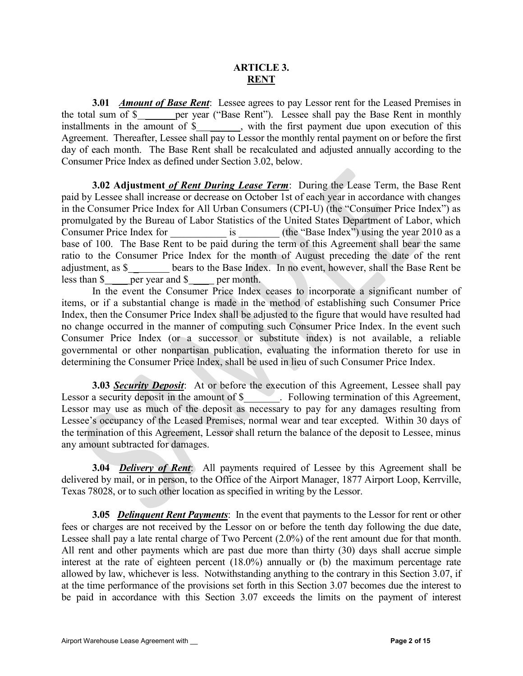# ARTICLE 3. **RENT**

3.01 *Amount of Base Rent:* Lessee agrees to pay Lessor rent for the Leased Premises in the total sum of \$ per year ("Base Rent"). Lessee shall pay the Base Rent in monthly installments in the amount of \$\_\_\_\_\_\_\_, with the first payment due upon execution of this Agreement. Thereafter, Lessee shall pay to Lessor the monthly rental payment on or before the first day of each month. The Base Rent shall be recalculated and adjusted annually according to the Consumer Price Index as defined under Section 3.02, below.

3.02 Adjustment of Rent During Lease Term: During the Lease Term, the Base Rent paid by Lessee shall increase or decrease on October 1st of each year in accordance with changes in the Consumer Price Index for All Urban Consumers (CPI-U) (the "Consumer Price Index") as promulgated by the Bureau of Labor Statistics of the United States Department of Labor, which Consumer Price Index for is (the "Base Index") using the year 2010 as a base of 100. The Base Rent to be paid during the term of this Agreement shall bear the same ratio to the Consumer Price Index for the month of August preceding the date of the rent adjustment, as \$ \_ bears to the Base Index. In no event, however, shall the Base Rent be less than \$ \_\_\_\_ per year and \$ \_\_\_\_ per month.

In the event the Consumer Price Index ceases to incorporate a significant number of items, or if a substantial change is made in the method of establishing such Consumer Price Index, then the Consumer Price Index shall be adjusted to the figure that would have resulted had no change occurred in the manner of computing such Consumer Price Index. In the event such Consumer Price Index (or a successor or substitute index) is not available, a reliable governmental or other nonpartisan publication, evaluating the information thereto for use in determining the Consumer Price Index, shall be used in lieu of such Consumer Price Index.

**3.03 Security Deposit:** At or before the execution of this Agreement, Lessee shall pay Lessor a security deposit in the amount of \$\_\_\_\_\_\_. Following termination of this Agreement, Lessor may use as much of the deposit as necessary to pay for any damages resulting from Lessee's occupancy of the Leased Premises, normal wear and tear excepted. Within 30 days of the termination of this Agreement, Lessor shall return the balance of the deposit to Lessee, minus any amount subtracted for damages.

3.04 **Delivery of Rent:** All payments required of Lessee by this Agreement shall be delivered by mail, or in person, to the Office of the Airport Manager, 1877 Airport Loop, Kerrville, Texas 78028, or to such other location as specified in writing by the Lessor.

**3.05 Delinquent Rent Payments:** In the event that payments to the Lessor for rent or other fees or charges are not received by the Lessor on or before the tenth day following the due date, Lessee shall pay a late rental charge of Two Percent (2.0%) of the rent amount due for that month. All rent and other payments which are past due more than thirty (30) days shall accrue simple interest at the rate of eighteen percent (18.0%) annually or (b) the maximum percentage rate allowed by law, whichever is less. Notwithstanding anything to the contrary in this Section 3.07, if at the time performance of the provisions set forth in this Section 3.07 becomes due the interest to be paid in accordance with this Section 3.07 exceeds the limits on the payment of interest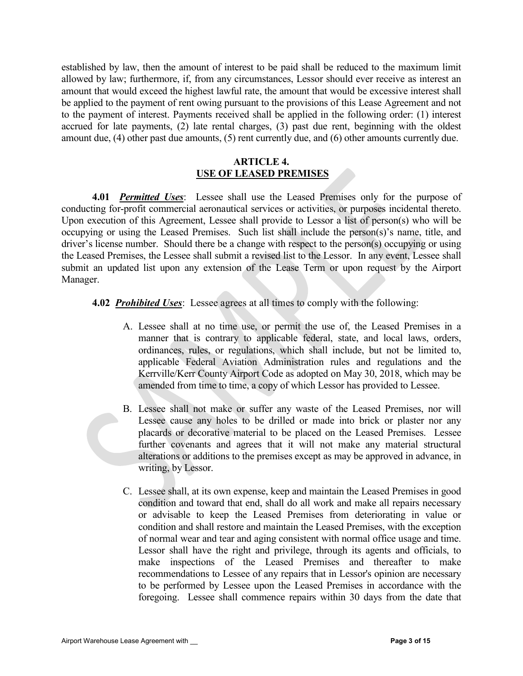established by law, then the amount of interest to be paid shall be reduced to the maximum limit allowed by law; furthermore, if, from any circumstances, Lessor should ever receive as interest an amount that would exceed the highest lawful rate, the amount that would be excessive interest shall be applied to the payment of rent owing pursuant to the provisions of this Lease Agreement and not to the payment of interest. Payments received shall be applied in the following order: (1) interest accrued for late payments, (2) late rental charges, (3) past due rent, beginning with the oldest amount due, (4) other past due amounts, (5) rent currently due, and (6) other amounts currently due.

# ARTICLE 4. USE OF LEASED PREMISES

4.01 *Permitted Uses*: Lessee shall use the Leased Premises only for the purpose of conducting for-profit commercial aeronautical services or activities, or purposes incidental thereto. Upon execution of this Agreement, Lessee shall provide to Lessor a list of person(s) who will be occupying or using the Leased Premises. Such list shall include the person(s)'s name, title, and driver's license number. Should there be a change with respect to the person(s) occupying or using the Leased Premises, the Lessee shall submit a revised list to the Lessor. In any event, Lessee shall submit an updated list upon any extension of the Lease Term or upon request by the Airport Manager.

# 4.02 *Prohibited Uses*: Lessee agrees at all times to comply with the following:

- A. Lessee shall at no time use, or permit the use of, the Leased Premises in a manner that is contrary to applicable federal, state, and local laws, orders, ordinances, rules, or regulations, which shall include, but not be limited to, applicable Federal Aviation Administration rules and regulations and the Kerrville/Kerr County Airport Code as adopted on May 30, 2018, which may be amended from time to time, a copy of which Lessor has provided to Lessee.
- B. Lessee shall not make or suffer any waste of the Leased Premises, nor will Lessee cause any holes to be drilled or made into brick or plaster nor any placards or decorative material to be placed on the Leased Premises. Lessee further covenants and agrees that it will not make any material structural alterations or additions to the premises except as may be approved in advance, in writing, by Lessor.
- C. Lessee shall, at its own expense, keep and maintain the Leased Premises in good condition and toward that end, shall do all work and make all repairs necessary or advisable to keep the Leased Premises from deteriorating in value or condition and shall restore and maintain the Leased Premises, with the exception of normal wear and tear and aging consistent with normal office usage and time. Lessor shall have the right and privilege, through its agents and officials, to make inspections of the Leased Premises and thereafter to make recommendations to Lessee of any repairs that in Lessor's opinion are necessary to be performed by Lessee upon the Leased Premises in accordance with the foregoing. Lessee shall commence repairs within 30 days from the date that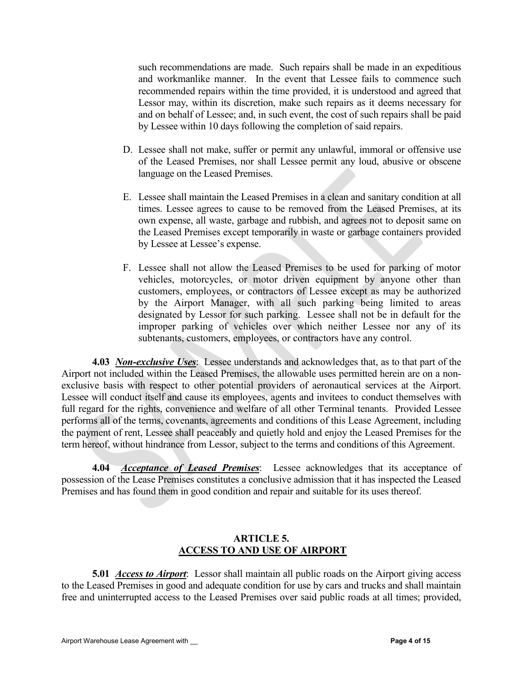such recommendations are made. Such repairs shall be made in an expeditious and workmanlike manner. In the event that Lessee fails to commence such recommended repairs within the time provided, it is understood and agreed that Lessor may, within its discretion, make such repairs as it deems necessary for and on behalf of Lessee; and, in such event, the cost of such repairs shall be paid by Lessee within 10 days following the completion of said repairs.

- D. Lessee shall not make, suffer or permit any unlawful, immoral or offensive use of the Leased Premises, nor shall Lessee permit any loud, abusive or obscene language on the Leased Premises.
- E. Lessee shall maintain the Leased Premises in a clean and sanitary condition at all times. Lessee agrees to cause to be removed from the Leased Premises, at its own expense, all waste, garbage and rubbish, and agrees not to deposit same on the Leased Premises except temporarily in waste or garbage containers provided by Lessee at Lessee's expense.
- F. Lessee shall not allow the Leased Premises to be used for parking of motor vehicles, motorcycles, or motor driven equipment by anyone other than customers, employees, or contractors of Lessee except as may be authorized by the Airport Manager, with all such parking being limited to areas designated by Lessor for such parking. Lessee shall not be in default for the improper parking of vehicles over which neither Lessee nor any of its subtenants, customers, employees, or contractors have any control.

4.03 Non-exclusive Uses: Lessee understands and acknowledges that, as to that part of the Airport not included within the Leased Premises, the allowable uses permitted herein are on a nonexclusive basis with respect to other potential providers of aeronautical services at the Airport. Lessee will conduct itself and cause its employees, agents and invitees to conduct themselves with full regard for the rights, convenience and welfare of all other Terminal tenants. Provided Lessee performs all of the terms, covenants, agreements and conditions of this Lease Agreement, including the payment of rent, Lessee shall peaceably and quietly hold and enjoy the Leased Premises for the term hereof, without hindrance from Lessor, subject to the terms and conditions of this Agreement.

4.04 Acceptance of Leased Premises: Lessee acknowledges that its acceptance of possession of the Lease Premises constitutes a conclusive admission that it has inspected the Leased Premises and has found them in good condition and repair and suitable for its uses thereof.

## ARTICLE 5. ACCESS TO AND USE OF AIRPORT

**5.01 Access to Airport:** Lessor shall maintain all public roads on the Airport giving access to the Leased Premises in good and adequate condition for use by cars and trucks and shall maintain free and uninterrupted access to the Leased Premises over said public roads at all times; provided,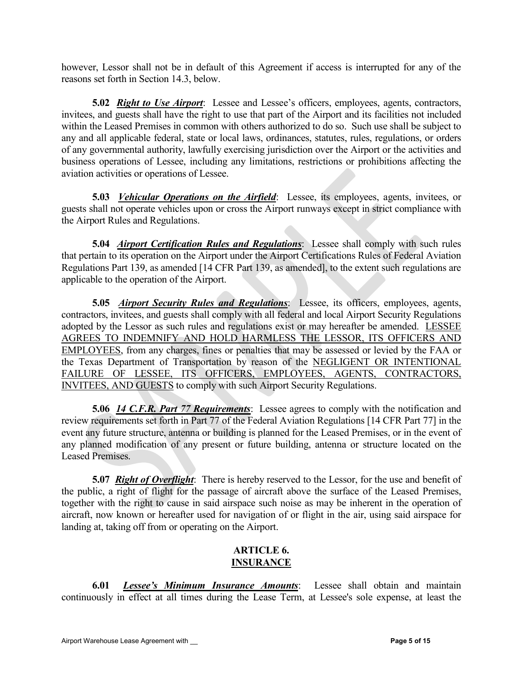however, Lessor shall not be in default of this Agreement if access is interrupted for any of the reasons set forth in Section 14.3, below.

5.02 Right to Use Airport: Lessee and Lessee's officers, employees, agents, contractors, invitees, and guests shall have the right to use that part of the Airport and its facilities not included within the Leased Premises in common with others authorized to do so. Such use shall be subject to any and all applicable federal, state or local laws, ordinances, statutes, rules, regulations, or orders of any governmental authority, lawfully exercising jurisdiction over the Airport or the activities and business operations of Lessee, including any limitations, restrictions or prohibitions affecting the aviation activities or operations of Lessee.

5.03 *Vehicular Operations on the Airfield*: Lessee, its employees, agents, invitees, or guests shall not operate vehicles upon or cross the Airport runways except in strict compliance with the Airport Rules and Regulations.

5.04 *Airport Certification Rules and Regulations*: Lessee shall comply with such rules that pertain to its operation on the Airport under the Airport Certifications Rules of Federal Aviation Regulations Part 139, as amended [14 CFR Part 139, as amended], to the extent such regulations are applicable to the operation of the Airport.

5.05 Airport Security Rules and Regulations: Lessee, its officers, employees, agents, contractors, invitees, and guests shall comply with all federal and local Airport Security Regulations adopted by the Lessor as such rules and regulations exist or may hereafter be amended. LESSEE AGREES TO INDEMNIFY AND HOLD HARMLESS THE LESSOR, ITS OFFICERS AND EMPLOYEES, from any charges, fines or penalties that may be assessed or levied by the FAA or the Texas Department of Transportation by reason of the NEGLIGENT OR INTENTIONAL FAILURE OF LESSEE, ITS OFFICERS, EMPLOYEES, AGENTS, CONTRACTORS, INVITEES, AND GUESTS to comply with such Airport Security Regulations.

**5.06 14 C.F.R. Part 77 Requirements:** Lessee agrees to comply with the notification and review requirements set forth in Part 77 of the Federal Aviation Regulations [14 CFR Part 77] in the event any future structure, antenna or building is planned for the Leased Premises, or in the event of any planned modification of any present or future building, antenna or structure located on the Leased Premises.

5.07 Right of Overflight: There is hereby reserved to the Lessor, for the use and benefit of the public, a right of flight for the passage of aircraft above the surface of the Leased Premises, together with the right to cause in said airspace such noise as may be inherent in the operation of aircraft, now known or hereafter used for navigation of or flight in the air, using said airspace for landing at, taking off from or operating on the Airport.

# ARTICLE 6. INSURANCE

6.01 Lessee's Minimum Insurance Amounts: Lessee shall obtain and maintain continuously in effect at all times during the Lease Term, at Lessee's sole expense, at least the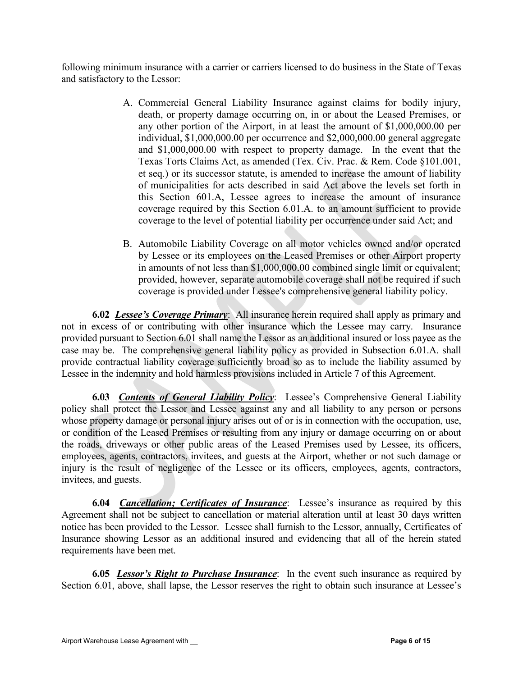following minimum insurance with a carrier or carriers licensed to do business in the State of Texas and satisfactory to the Lessor:

- A. Commercial General Liability Insurance against claims for bodily injury, death, or property damage occurring on, in or about the Leased Premises, or any other portion of the Airport, in at least the amount of \$1,000,000.00 per individual, \$1,000,000.00 per occurrence and \$2,000,000.00 general aggregate and \$1,000,000.00 with respect to property damage. In the event that the Texas Torts Claims Act, as amended (Tex. Civ. Prac. & Rem. Code §101.001, et seq.) or its successor statute, is amended to increase the amount of liability of municipalities for acts described in said Act above the levels set forth in this Section 601.A, Lessee agrees to increase the amount of insurance coverage required by this Section 6.01.A. to an amount sufficient to provide coverage to the level of potential liability per occurrence under said Act; and
- B. Automobile Liability Coverage on all motor vehicles owned and/or operated by Lessee or its employees on the Leased Premises or other Airport property in amounts of not less than \$1,000,000.00 combined single limit or equivalent; provided, however, separate automobile coverage shall not be required if such coverage is provided under Lessee's comprehensive general liability policy.

6.02 Lessee's Coverage Primary: All insurance herein required shall apply as primary and not in excess of or contributing with other insurance which the Lessee may carry. Insurance provided pursuant to Section 6.01 shall name the Lessor as an additional insured or loss payee as the case may be. The comprehensive general liability policy as provided in Subsection 6.01.A. shall provide contractual liability coverage sufficiently broad so as to include the liability assumed by Lessee in the indemnity and hold harmless provisions included in Article 7 of this Agreement.

**6.03** Contents of General Liability Policy: Lessee's Comprehensive General Liability policy shall protect the Lessor and Lessee against any and all liability to any person or persons whose property damage or personal injury arises out of or is in connection with the occupation, use, or condition of the Leased Premises or resulting from any injury or damage occurring on or about the roads, driveways or other public areas of the Leased Premises used by Lessee, its officers, employees, agents, contractors, invitees, and guests at the Airport, whether or not such damage or injury is the result of negligence of the Lessee or its officers, employees, agents, contractors, invitees, and guests.

**6.04 Cancellation; Certificates of Insurance**: Lessee's insurance as required by this Agreement shall not be subject to cancellation or material alteration until at least 30 days written notice has been provided to the Lessor. Lessee shall furnish to the Lessor, annually, Certificates of Insurance showing Lessor as an additional insured and evidencing that all of the herein stated requirements have been met.

6.05 Lessor's Right to Purchase Insurance: In the event such insurance as required by Section 6.01, above, shall lapse, the Lessor reserves the right to obtain such insurance at Lessee's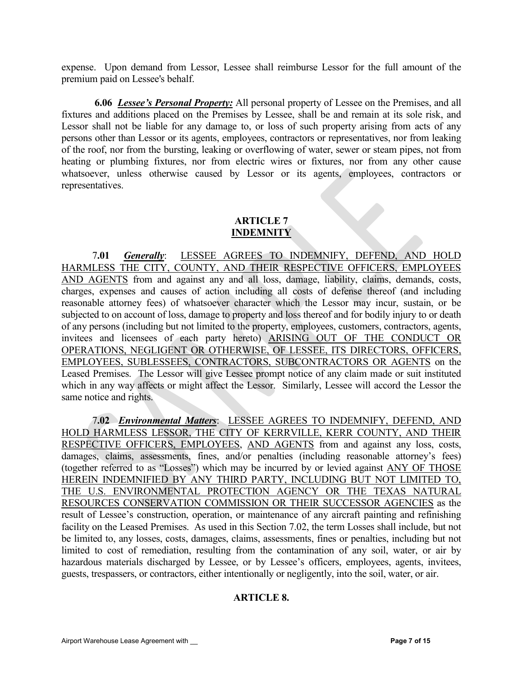expense. Upon demand from Lessor, Lessee shall reimburse Lessor for the full amount of the premium paid on Lessee's behalf.

6.06 *Lessee's Personal Property:* All personal property of Lessee on the Premises, and all fixtures and additions placed on the Premises by Lessee, shall be and remain at its sole risk, and Lessor shall not be liable for any damage to, or loss of such property arising from acts of any persons other than Lessor or its agents, employees, contractors or representatives, nor from leaking of the roof, nor from the bursting, leaking or overflowing of water, sewer or steam pipes, not from heating or plumbing fixtures, nor from electric wires or fixtures, nor from any other cause whatsoever, unless otherwise caused by Lessor or its agents, employees, contractors or representatives.

# ARTICLE 7 INDEMNITY

7.01 Generally: LESSEE AGREES TO INDEMNIFY, DEFEND, AND HOLD HARMLESS THE CITY, COUNTY, AND THEIR RESPECTIVE OFFICERS, EMPLOYEES AND AGENTS from and against any and all loss, damage, liability, claims, demands, costs, charges, expenses and causes of action including all costs of defense thereof (and including reasonable attorney fees) of whatsoever character which the Lessor may incur, sustain, or be subjected to on account of loss, damage to property and loss thereof and for bodily injury to or death of any persons (including but not limited to the property, employees, customers, contractors, agents, invitees and licensees of each party hereto) ARISING OUT OF THE CONDUCT OR OPERATIONS, NEGLIGENT OR OTHERWISE, OF LESSEE, ITS DIRECTORS, OFFICERS, EMPLOYEES, SUBLESSEES, CONTRACTORS, SUBCONTRACTORS OR AGENTS on the Leased Premises. The Lessor will give Lessee prompt notice of any claim made or suit instituted which in any way affects or might affect the Lessor. Similarly, Lessee will accord the Lessor the same notice and rights.

 7.02 Environmental Matters: LESSEE AGREES TO INDEMNIFY, DEFEND, AND HOLD HARMLESS LESSOR, THE CITY OF KERRVILLE, KERR COUNTY, AND THEIR RESPECTIVE OFFICERS, EMPLOYEES, AND AGENTS from and against any loss, costs, damages, claims, assessments, fines, and/or penalties (including reasonable attorney's fees) (together referred to as "Losses") which may be incurred by or levied against ANY OF THOSE HEREIN INDEMNIFIED BY ANY THIRD PARTY, INCLUDING BUT NOT LIMITED TO, THE U.S. ENVIRONMENTAL PROTECTION AGENCY OR THE TEXAS NATURAL RESOURCES CONSERVATION COMMISSION OR THEIR SUCCESSOR AGENCIES as the result of Lessee's construction, operation, or maintenance of any aircraft painting and refinishing facility on the Leased Premises. As used in this Section 7.02, the term Losses shall include, but not be limited to, any losses, costs, damages, claims, assessments, fines or penalties, including but not limited to cost of remediation, resulting from the contamination of any soil, water, or air by hazardous materials discharged by Lessee, or by Lessee's officers, employees, agents, invitees, guests, trespassers, or contractors, either intentionally or negligently, into the soil, water, or air.

# ARTICLE 8.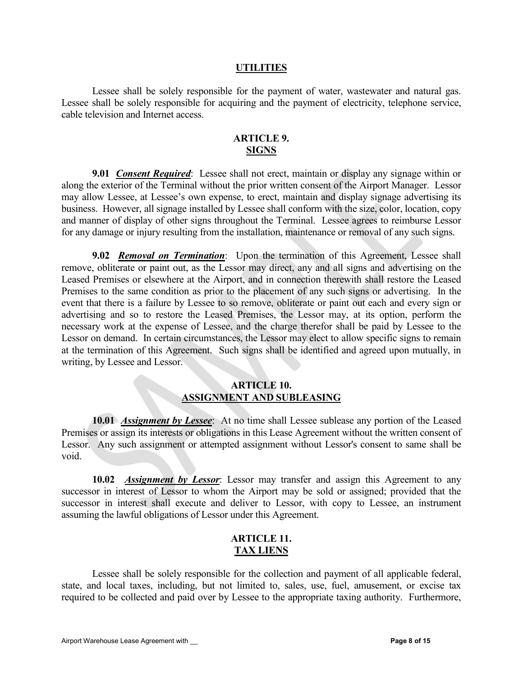#### UTILITIES

Lessee shall be solely responsible for the payment of water, wastewater and natural gas. Lessee shall be solely responsible for acquiring and the payment of electricity, telephone service, cable television and Internet access.

### ARTICLE 9. SIGNS

9.01 *Consent Required*: Lessee shall not erect, maintain or display any signage within or along the exterior of the Terminal without the prior written consent of the Airport Manager. Lessor may allow Lessee, at Lessee's own expense, to erect, maintain and display signage advertising its business. However, all signage installed by Lessee shall conform with the size, color, location, copy and manner of display of other signs throughout the Terminal. Lessee agrees to reimburse Lessor for any damage or injury resulting from the installation, maintenance or removal of any such signs.

9.02 Removal on Termination: Upon the termination of this Agreement, Lessee shall remove, obliterate or paint out, as the Lessor may direct, any and all signs and advertising on the Leased Premises or elsewhere at the Airport, and in connection therewith shall restore the Leased Premises to the same condition as prior to the placement of any such signs or advertising. In the event that there is a failure by Lessee to so remove, obliterate or paint out each and every sign or advertising and so to restore the Leased Premises, the Lessor may, at its option, perform the necessary work at the expense of Lessee, and the charge therefor shall be paid by Lessee to the Lessor on demand. In certain circumstances, the Lessor may elect to allow specific signs to remain at the termination of this Agreement. Such signs shall be identified and agreed upon mutually, in writing, by Lessee and Lessor.

#### ARTICLE 10. ASSIGNMENT AND SUBLEASING

10.01 Assignment by Lessee: At no time shall Lessee sublease any portion of the Leased Premises or assign its interests or obligations in this Lease Agreement without the written consent of Lessor. Any such assignment or attempted assignment without Lessor's consent to same shall be void.

10.02 Assignment by Lessor: Lessor may transfer and assign this Agreement to any successor in interest of Lessor to whom the Airport may be sold or assigned; provided that the successor in interest shall execute and deliver to Lessor, with copy to Lessee, an instrument assuming the lawful obligations of Lessor under this Agreement.

## ARTICLE 11. TAX LIENS

Lessee shall be solely responsible for the collection and payment of all applicable federal, state, and local taxes, including, but not limited to, sales, use, fuel, amusement, or excise tax required to be collected and paid over by Lessee to the appropriate taxing authority. Furthermore,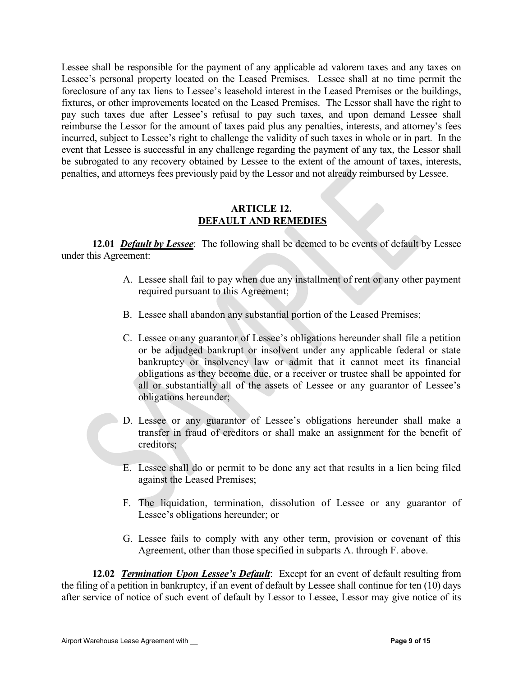Lessee shall be responsible for the payment of any applicable ad valorem taxes and any taxes on Lessee's personal property located on the Leased Premises. Lessee shall at no time permit the foreclosure of any tax liens to Lessee's leasehold interest in the Leased Premises or the buildings, fixtures, or other improvements located on the Leased Premises. The Lessor shall have the right to pay such taxes due after Lessee's refusal to pay such taxes, and upon demand Lessee shall reimburse the Lessor for the amount of taxes paid plus any penalties, interests, and attorney's fees incurred, subject to Lessee's right to challenge the validity of such taxes in whole or in part. In the event that Lessee is successful in any challenge regarding the payment of any tax, the Lessor shall be subrogated to any recovery obtained by Lessee to the extent of the amount of taxes, interests, penalties, and attorneys fees previously paid by the Lessor and not already reimbursed by Lessee.

### ARTICLE 12. DEFAULT AND REMEDIES

12.01 *Default by Lessee*: The following shall be deemed to be events of default by Lessee under this Agreement:

- A. Lessee shall fail to pay when due any installment of rent or any other payment required pursuant to this Agreement;
- B. Lessee shall abandon any substantial portion of the Leased Premises;
- C. Lessee or any guarantor of Lessee's obligations hereunder shall file a petition or be adjudged bankrupt or insolvent under any applicable federal or state bankruptcy or insolvency law or admit that it cannot meet its financial obligations as they become due, or a receiver or trustee shall be appointed for all or substantially all of the assets of Lessee or any guarantor of Lessee's obligations hereunder;
- D. Lessee or any guarantor of Lessee's obligations hereunder shall make a transfer in fraud of creditors or shall make an assignment for the benefit of creditors;
- E. Lessee shall do or permit to be done any act that results in a lien being filed against the Leased Premises;
- F. The liquidation, termination, dissolution of Lessee or any guarantor of Lessee's obligations hereunder; or
- G. Lessee fails to comply with any other term, provision or covenant of this Agreement, other than those specified in subparts A. through F. above.

12.02 Termination Upon Lessee's Default: Except for an event of default resulting from the filing of a petition in bankruptcy, if an event of default by Lessee shall continue for ten (10) days after service of notice of such event of default by Lessor to Lessee, Lessor may give notice of its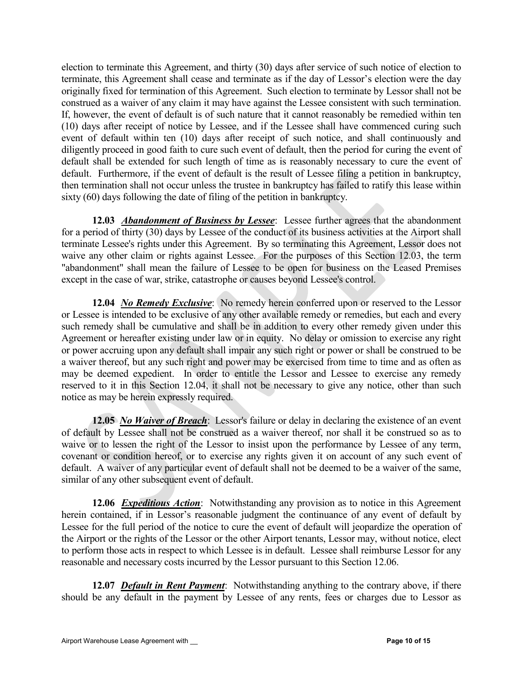election to terminate this Agreement, and thirty (30) days after service of such notice of election to terminate, this Agreement shall cease and terminate as if the day of Lessor's election were the day originally fixed for termination of this Agreement. Such election to terminate by Lessor shall not be construed as a waiver of any claim it may have against the Lessee consistent with such termination. If, however, the event of default is of such nature that it cannot reasonably be remedied within ten (10) days after receipt of notice by Lessee, and if the Lessee shall have commenced curing such event of default within ten (10) days after receipt of such notice, and shall continuously and diligently proceed in good faith to cure such event of default, then the period for curing the event of default shall be extended for such length of time as is reasonably necessary to cure the event of default. Furthermore, if the event of default is the result of Lessee filing a petition in bankruptcy, then termination shall not occur unless the trustee in bankruptcy has failed to ratify this lease within sixty (60) days following the date of filing of the petition in bankruptcy.

12.03 **Abandonment of Business by Lessee**: Lessee further agrees that the abandonment for a period of thirty (30) days by Lessee of the conduct of its business activities at the Airport shall terminate Lessee's rights under this Agreement. By so terminating this Agreement, Lessor does not waive any other claim or rights against Lessee. For the purposes of this Section 12.03, the term "abandonment" shall mean the failure of Lessee to be open for business on the Leased Premises except in the case of war, strike, catastrophe or causes beyond Lessee's control.

12.04 No Remedy Exclusive: No remedy herein conferred upon or reserved to the Lessor or Lessee is intended to be exclusive of any other available remedy or remedies, but each and every such remedy shall be cumulative and shall be in addition to every other remedy given under this Agreement or hereafter existing under law or in equity. No delay or omission to exercise any right or power accruing upon any default shall impair any such right or power or shall be construed to be a waiver thereof, but any such right and power may be exercised from time to time and as often as may be deemed expedient. In order to entitle the Lessor and Lessee to exercise any remedy reserved to it in this Section 12.04, it shall not be necessary to give any notice, other than such notice as may be herein expressly required.

12.05 No Waiver of Breach: Lessor's failure or delay in declaring the existence of an event of default by Lessee shall not be construed as a waiver thereof, nor shall it be construed so as to waive or to lessen the right of the Lessor to insist upon the performance by Lessee of any term, covenant or condition hereof, or to exercise any rights given it on account of any such event of default. A waiver of any particular event of default shall not be deemed to be a waiver of the same, similar of any other subsequent event of default.

12.06 Expeditious Action: Notwithstanding any provision as to notice in this Agreement herein contained, if in Lessor's reasonable judgment the continuance of any event of default by Lessee for the full period of the notice to cure the event of default will jeopardize the operation of the Airport or the rights of the Lessor or the other Airport tenants, Lessor may, without notice, elect to perform those acts in respect to which Lessee is in default. Lessee shall reimburse Lessor for any reasonable and necessary costs incurred by the Lessor pursuant to this Section 12.06.

12.07 **Default in Rent Payment**: Notwithstanding anything to the contrary above, if there should be any default in the payment by Lessee of any rents, fees or charges due to Lessor as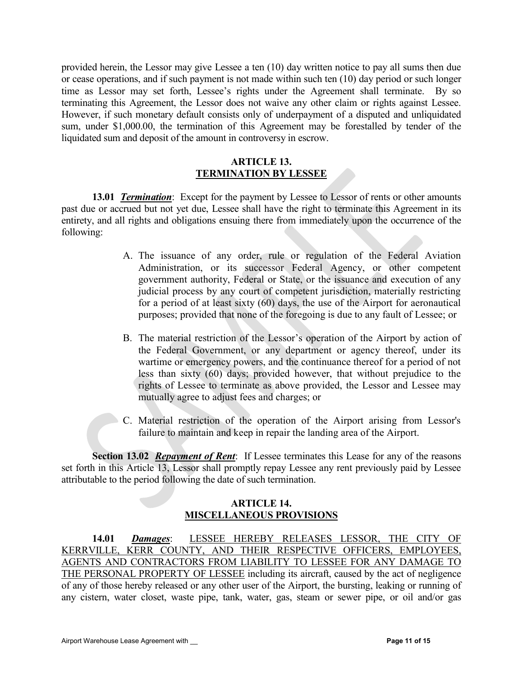provided herein, the Lessor may give Lessee a ten (10) day written notice to pay all sums then due or cease operations, and if such payment is not made within such ten (10) day period or such longer time as Lessor may set forth, Lessee's rights under the Agreement shall terminate. By so terminating this Agreement, the Lessor does not waive any other claim or rights against Lessee. However, if such monetary default consists only of underpayment of a disputed and unliquidated sum, under \$1,000.00, the termination of this Agreement may be forestalled by tender of the liquidated sum and deposit of the amount in controversy in escrow.

### ARTICLE 13. TERMINATION BY LESSEE

13.01 **Termination**: Except for the payment by Lessee to Lessor of rents or other amounts past due or accrued but not yet due, Lessee shall have the right to terminate this Agreement in its entirety, and all rights and obligations ensuing there from immediately upon the occurrence of the following:

- A. The issuance of any order, rule or regulation of the Federal Aviation Administration, or its successor Federal Agency, or other competent government authority, Federal or State, or the issuance and execution of any judicial process by any court of competent jurisdiction, materially restricting for a period of at least sixty (60) days, the use of the Airport for aeronautical purposes; provided that none of the foregoing is due to any fault of Lessee; or
- B. The material restriction of the Lessor's operation of the Airport by action of the Federal Government, or any department or agency thereof, under its wartime or emergency powers, and the continuance thereof for a period of not less than sixty (60) days; provided however, that without prejudice to the rights of Lessee to terminate as above provided, the Lessor and Lessee may mutually agree to adjust fees and charges; or
- C. Material restriction of the operation of the Airport arising from Lessor's failure to maintain and keep in repair the landing area of the Airport.

Section 13.02 Repayment of Rent: If Lessee terminates this Lease for any of the reasons set forth in this Article 13, Lessor shall promptly repay Lessee any rent previously paid by Lessee attributable to the period following the date of such termination.

# ARTICLE 14. MISCELLANEOUS PROVISIONS

14.01 Damages: LESSEE HEREBY RELEASES LESSOR, THE CITY OF KERRVILLE, KERR COUNTY, AND THEIR RESPECTIVE OFFICERS, EMPLOYEES, AGENTS AND CONTRACTORS FROM LIABILITY TO LESSEE FOR ANY DAMAGE TO THE PERSONAL PROPERTY OF LESSEE including its aircraft, caused by the act of negligence of any of those hereby released or any other user of the Airport, the bursting, leaking or running of any cistern, water closet, waste pipe, tank, water, gas, steam or sewer pipe, or oil and/or gas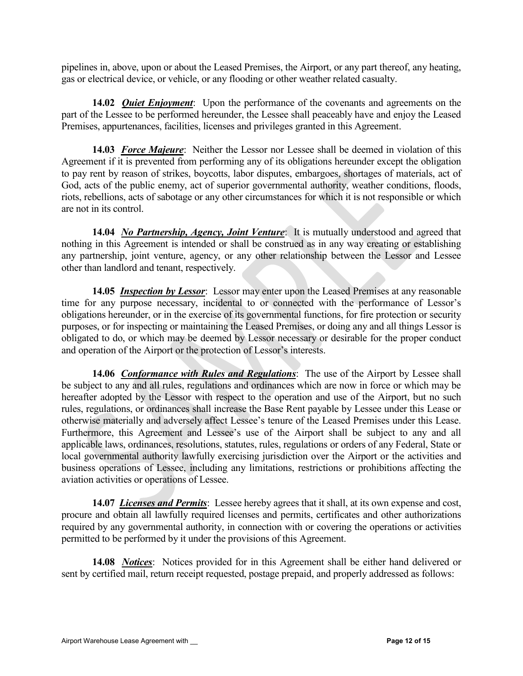pipelines in, above, upon or about the Leased Premises, the Airport, or any part thereof, any heating, gas or electrical device, or vehicle, or any flooding or other weather related casualty.

14.02 *Quiet Enjoyment*: Upon the performance of the covenants and agreements on the part of the Lessee to be performed hereunder, the Lessee shall peaceably have and enjoy the Leased Premises, appurtenances, facilities, licenses and privileges granted in this Agreement.

14.03 Force Majeure: Neither the Lessor nor Lessee shall be deemed in violation of this Agreement if it is prevented from performing any of its obligations hereunder except the obligation to pay rent by reason of strikes, boycotts, labor disputes, embargoes, shortages of materials, act of God, acts of the public enemy, act of superior governmental authority, weather conditions, floods, riots, rebellions, acts of sabotage or any other circumstances for which it is not responsible or which are not in its control.

14.04 No Partnership, Agency, Joint Venture: It is mutually understood and agreed that nothing in this Agreement is intended or shall be construed as in any way creating or establishing any partnership, joint venture, agency, or any other relationship between the Lessor and Lessee other than landlord and tenant, respectively.

14.05 *Inspection by Lessor*: Lessor may enter upon the Leased Premises at any reasonable time for any purpose necessary, incidental to or connected with the performance of Lessor's obligations hereunder, or in the exercise of its governmental functions, for fire protection or security purposes, or for inspecting or maintaining the Leased Premises, or doing any and all things Lessor is obligated to do, or which may be deemed by Lessor necessary or desirable for the proper conduct and operation of the Airport or the protection of Lessor's interests.

14.06 *Conformance with Rules and Regulations*: The use of the Airport by Lessee shall be subject to any and all rules, regulations and ordinances which are now in force or which may be hereafter adopted by the Lessor with respect to the operation and use of the Airport, but no such rules, regulations, or ordinances shall increase the Base Rent payable by Lessee under this Lease or otherwise materially and adversely affect Lessee's tenure of the Leased Premises under this Lease. Furthermore, this Agreement and Lessee's use of the Airport shall be subject to any and all applicable laws, ordinances, resolutions, statutes, rules, regulations or orders of any Federal, State or local governmental authority lawfully exercising jurisdiction over the Airport or the activities and business operations of Lessee, including any limitations, restrictions or prohibitions affecting the aviation activities or operations of Lessee.

14.07 Licenses and Permits: Lessee hereby agrees that it shall, at its own expense and cost, procure and obtain all lawfully required licenses and permits, certificates and other authorizations required by any governmental authority, in connection with or covering the operations or activities permitted to be performed by it under the provisions of this Agreement.

14.08 *Notices*: Notices provided for in this Agreement shall be either hand delivered or sent by certified mail, return receipt requested, postage prepaid, and properly addressed as follows: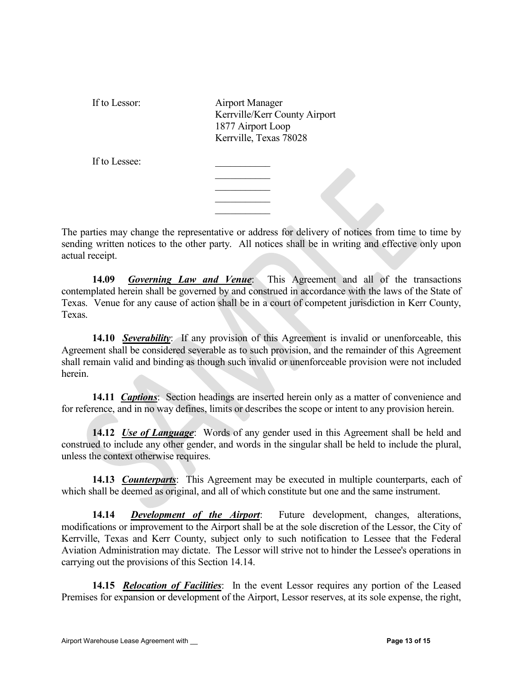If to Lessor: Airport Manager Kerrville/Kerr County Airport 1877 Airport Loop Kerrville, Texas 78028

 $\mathcal{L}_\text{max}$  and  $\mathcal{L}_\text{max}$  and  $\mathcal{L}_\text{max}$  and  $\mathcal{L}_\text{max}$ 

If to Lessee:

The parties may change the representative or address for delivery of notices from time to time by sending written notices to the other party. All notices shall be in writing and effective only upon actual receipt.

14.09 *Governing Law and Venue*: This Agreement and all of the transactions contemplated herein shall be governed by and construed in accordance with the laws of the State of Texas. Venue for any cause of action shall be in a court of competent jurisdiction in Kerr County, Texas.

14.10 Severability: If any provision of this Agreement is invalid or unenforceable, this Agreement shall be considered severable as to such provision, and the remainder of this Agreement shall remain valid and binding as though such invalid or unenforceable provision were not included herein.

14.11 **Captions**: Section headings are inserted herein only as a matter of convenience and for reference, and in no way defines, limits or describes the scope or intent to any provision herein.

14.12 Use of Language: Words of any gender used in this Agreement shall be held and construed to include any other gender, and words in the singular shall be held to include the plural, unless the context otherwise requires.

14.13 *Counterparts*: This Agreement may be executed in multiple counterparts, each of which shall be deemed as original, and all of which constitute but one and the same instrument.

14.14 Development of the Airport: Future development, changes, alterations, modifications or improvement to the Airport shall be at the sole discretion of the Lessor, the City of Kerrville, Texas and Kerr County, subject only to such notification to Lessee that the Federal Aviation Administration may dictate. The Lessor will strive not to hinder the Lessee's operations in carrying out the provisions of this Section 14.14.

14.15 Relocation of Facilities: In the event Lessor requires any portion of the Leased Premises for expansion or development of the Airport, Lessor reserves, at its sole expense, the right,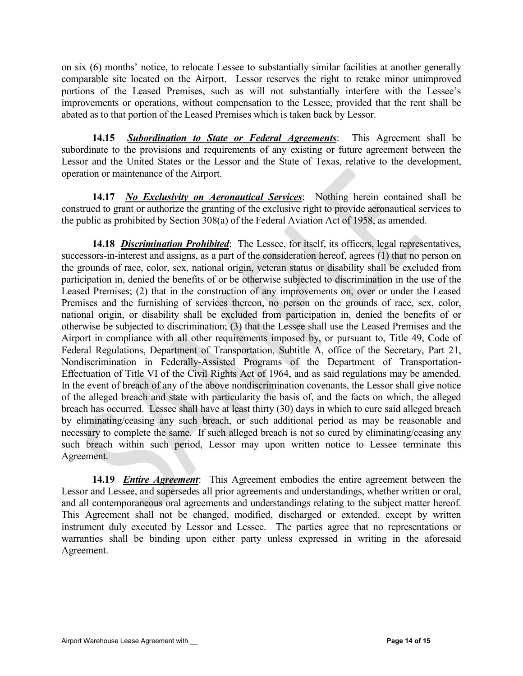on six (6) months' notice, to relocate Lessee to substantially similar facilities at another generally comparable site located on the Airport. Lessor reserves the right to retake minor unimproved portions of the Leased Premises, such as will not substantially interfere with the Lessee's improvements or operations, without compensation to the Lessee, provided that the rent shall be abated as to that portion of the Leased Premises which is taken back by Lessor.

14.15 Subordination to State or Federal Agreements: This Agreement shall be subordinate to the provisions and requirements of any existing or future agreement between the Lessor and the United States or the Lessor and the State of Texas, relative to the development, operation or maintenance of the Airport.

14.17 No Exclusivity on Aeronautical Services: Nothing herein contained shall be construed to grant or authorize the granting of the exclusive right to provide aeronautical services to the public as prohibited by Section 308(a) of the Federal Aviation Act of 1958, as amended.

14.18 Discrimination Prohibited: The Lessee, for itself, its officers, legal representatives, successors-in-interest and assigns, as a part of the consideration hereof, agrees (1) that no person on the grounds of race, color, sex, national origin, veteran status or disability shall be excluded from participation in, denied the benefits of or be otherwise subjected to discrimination in the use of the Leased Premises; (2) that in the construction of any improvements on, over or under the Leased Premises and the furnishing of services thereon, no person on the grounds of race, sex, color, national origin, or disability shall be excluded from participation in, denied the benefits of or otherwise be subjected to discrimination; (3) that the Lessee shall use the Leased Premises and the Airport in compliance with all other requirements imposed by, or pursuant to, Title 49, Code of Federal Regulations, Department of Transportation, Subtitle A, office of the Secretary, Part 21, Nondiscrimination in Federally-Assisted Programs of the Department of Transportation-Effectuation of Title VI of the Civil Rights Act of 1964, and as said regulations may be amended. In the event of breach of any of the above nondiscrimination covenants, the Lessor shall give notice of the alleged breach and state with particularity the basis of, and the facts on which, the alleged breach has occurred. Lessee shall have at least thirty (30) days in which to cure said alleged breach by eliminating/ceasing any such breach, or such additional period as may be reasonable and necessary to complete the same. If such alleged breach is not so cured by eliminating/ceasing any such breach within such period, Lessor may upon written notice to Lessee terminate this Agreement.

14.19 *Entire Agreement*: This Agreement embodies the entire agreement between the Lessor and Lessee, and supersedes all prior agreements and understandings, whether written or oral, and all contemporaneous oral agreements and understandings relating to the subject matter hereof. This Agreement shall not be changed, modified, discharged or extended, except by written instrument duly executed by Lessor and Lessee. The parties agree that no representations or warranties shall be binding upon either party unless expressed in writing in the aforesaid Agreement.